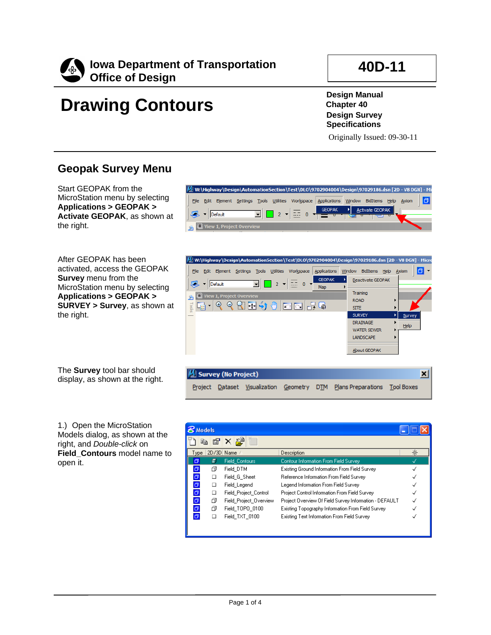

## **40D-11**

# **Drawing Contours**

**Design Manual Chapter 40 Design Survey Specifications**

Originally Issued: 09-30-11

### **Geopak Survey Menu**

Start GEOPAK from the MicroStation menu by selecting **Applications > GEOPAK > Activate GEOPAK**, as shown at the right.

After GEOPAK has been activated, access the GEOPAK **Survey** menu from the MicroStation menu by selecting **Applications > GEOPAK > SURVEY > Survey**, as shown at the right.

The **Survey** tool bar should display, as shown at the right.

1.) Open the MicroStation Models dialog, as shown at the right, and *Double-click* on **Field\_Contours** model name to open it.





|          | <b>Models</b> |                        |                                                        |   |
|----------|---------------|------------------------|--------------------------------------------------------|---|
|          | eb<br>ß       | 俟                      |                                                        |   |
| Type     |               | 2D/3D Name             | Description                                            | ⋇ |
|          | 圜             | <b>Field Contours</b>  | Contour Information From Field Survey                  |   |
| σ        | ∩             | Field DTM              | Existing Ground Information From Field Survey          |   |
| σ        | □             | Field G Sheet          | Reference Information From Field Survey                |   |
| $\Box$   | □             | Field Legend           | Legend Information From Field Survey                   |   |
| σ        | □             | Field Project Control  | Project Control Information From Field Survey          |   |
| $\sigma$ | ð             | Field Project Overview | Project Overview Of Field Survey Information - DEFAULT |   |
| $\sigma$ | n             | Field TOPO 0100        | Existing Topography Information From Field Survey      |   |
| 币        | ш             | Field TXT 0100         | Existing Text Information From Field Survey            |   |
|          |               |                        |                                                        |   |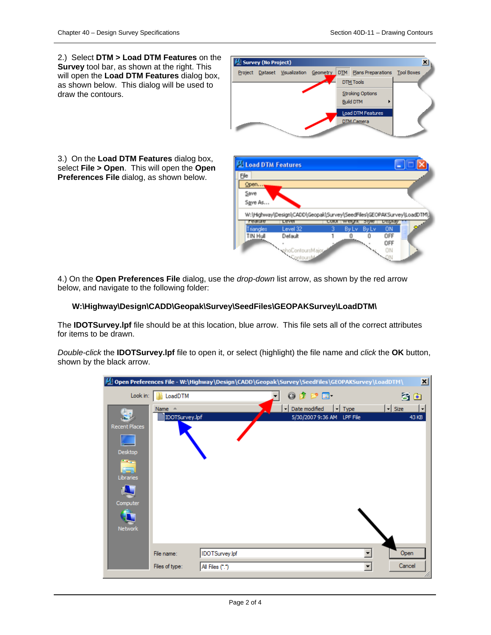2.) Select **DTM > Load DTM Features** on the **Survey** tool bar, as shown at the right. This will open the **Load DTM Features** dialog box, as shown below. This dialog will be used to draw the contours.



3.) On the **Load DTM Features** dialog box, select **File > Open**. This will open the **Open Preferences File** dialog, as shown below.

| File<br>Open     |                                                                       |              |   |                                                                                                                                                                                                                                      |                |  |
|------------------|-----------------------------------------------------------------------|--------------|---|--------------------------------------------------------------------------------------------------------------------------------------------------------------------------------------------------------------------------------------|----------------|--|
| Save             |                                                                       |              |   |                                                                                                                                                                                                                                      |                |  |
| Save As          |                                                                       |              |   |                                                                                                                                                                                                                                      |                |  |
|                  |                                                                       |              |   |                                                                                                                                                                                                                                      |                |  |
|                  |                                                                       |              |   |                                                                                                                                                                                                                                      |                |  |
|                  | W:\Highway\Design\CADD\Geopak\Survey\SeedFiles\GEOPAKSurvey\LoadDTM\) |              |   |                                                                                                                                                                                                                                      |                |  |
| <b>Legining</b>  | Lever                                                                 | <b>CURUI</b> |   |                                                                                                                                                                                                                                      | <b>Dutched</b> |  |
| <b>Triangles</b> | Level 32                                                              |              |   | Buly Buly                                                                                                                                                                                                                            | <b>ON</b>      |  |
|                  |                                                                       |              | 0 | n                                                                                                                                                                                                                                    | OFF            |  |
|                  | TIN Hull<br>vhoContoursMajor                                          |              |   | <b>Contract Contract Contract Contract Contract Contract Contract Contract Contract Contract Contract Contract Contract Contract Contract Contract Contract Contract Contract Contract Contract Contract Contract Contract Contr</b> |                |  |

4.) On the **Open Preferences File** dialog, use the *drop-down* list arrow, as shown by the red arrow below, and navigate to the following folder:

#### **W:\Highway\Design\CADD\Geopak\Survey\SeedFiles\GEOPAKSurvey\LoadDTM\**

The **IDOTSurvey.lpf** file should be at this location, blue arrow. This file sets all of the correct attributes for items to be drawn.

*Double-click* the **IDOTSurvey.lpf** file to open it, or select (highlight) the file name and *click* the **OK** button, shown by the black arrow.

|                                                                           |                                    | M] Open Preferences File - W:\Highway\Design\CADD\Geopak\Survey\SeedFiles\GEOPAKSurvey\LoadDTM\ |                                                  |                          | ⊠                                      |
|---------------------------------------------------------------------------|------------------------------------|-------------------------------------------------------------------------------------------------|--------------------------------------------------|--------------------------|----------------------------------------|
| Look in:                                                                  | LoadDTM                            |                                                                                                 | 0 0 0 0 0                                        |                          | <b>3 *</b>                             |
| Гó<br><b>Recent Places</b><br>Desktop<br><b>STAR</b><br>أدقل<br>Libraries | Name $\triangle$<br>IDOTSurvey.lpf |                                                                                                 | Date modified<br>⊣<br>5/30/2007 9:36 AM LPF File | $\vert \cdot \vert$ Type | $\overline{\phantom{a}}$ Size<br>43 KB |
| Computer<br><b>Network</b>                                                | File name:                         | IDOTSurvey.lpf                                                                                  |                                                  |                          | Open                                   |
|                                                                           | Files of type:                     | All Files (*.*)                                                                                 |                                                  | $\overline{\phantom{a}}$ | Cancel<br>n.                           |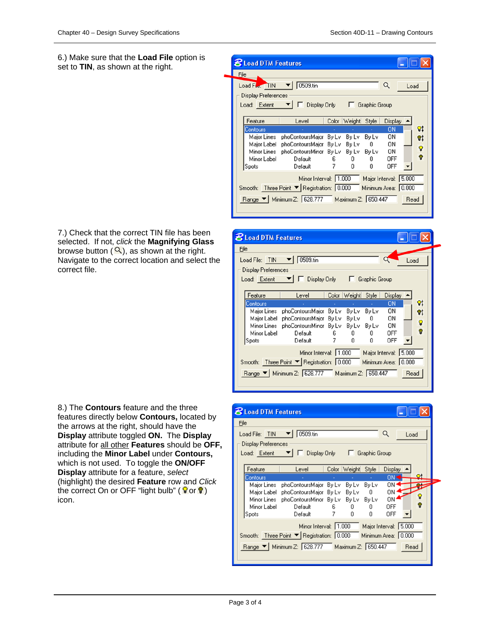6.) Make sure that the **Load File** option is set to **TIN**, as shown at the right.

|      | <b>8</b> Load DTM Features |                                                 |       |              |                        |                       |      |      |
|------|----------------------------|-------------------------------------------------|-------|--------------|------------------------|-----------------------|------|------|
| File |                            |                                                 |       |              |                        |                       |      |      |
|      | Load File. TIN             | 0509.tin                                        |       |              |                        | Q                     | Load |      |
|      | <b>Display Preferences</b> |                                                 |       |              |                        |                       |      |      |
|      | Load: Extent               | Display Only                                    |       |              | <b>E</b> Graphic Group |                       |      |      |
|      |                            |                                                 |       |              |                        |                       |      |      |
|      | Feature                    | Level                                           |       | Color Weight | Style                  | Display $\triangle$   |      |      |
|      | Contours                   |                                                 |       |              |                        | 0N                    |      | ଦା   |
|      | Major Lines                | phoContoursMajor                                | By Lv | By Lv        | By Lv                  | ΟN                    |      | V,   |
|      | Major Label                | phoContoursMajor By Lv                          |       | By Lv        | 0                      | OΝ                    |      | ତ    |
|      | Minor Lines                | phoContoursMinor By Lv                          |       |              | By Lv By Lv            | ΟN                    |      |      |
|      | Minor Label                | Default                                         | 6     | 0            | 0                      | OFF                   |      | Ω    |
|      | Spots                      | Default                                         |       | Ū            | n                      | <b>OFF</b>            |      |      |
|      |                            | Minor Interval: 1.000                           |       |              |                        | Major Interval: 5.000 |      |      |
|      |                            | Smooth: Three Point ▼ Registration: 0.000       |       |              |                        | Minimum Area: 0.000   |      |      |
|      |                            | Range ▼   Minimum Z: 628.777 Maximum Z: 650.447 |       |              |                        |                       |      | Read |
|      |                            |                                                 |       |              |                        |                       |      |      |

**8** Load DTM Features Eile Load File: TIN | 0509.tin Load **Display Preferences** Graphic Group Load: Extent ▼ | □ Display Only Feature Color Weight Style | Display -Level Contours  $ON$  $Q<sub>t</sub>$ Major Lines phoContoursMajor By Lv By Lv By Lv ON  $Q<sub>1</sub>$ ON Major Label phoContoursMajor By Lv By Lv  $\bf{0}$ Ŷ Minor Lines phoContoursMinor By Lv By Lv By Lv ON  $\bullet$ **OFF** Minor Label Default 6 0 0 Default  $\overline{7}$ Ū. **OFF** Spots Ū.  $\blacktriangledown$ Minor Interval: 1.000 Major Interval: 5.000 Smooth: Three Point ▼ Registration: 0.000 Minimum Area: 0.000 Range ▼ | Minimum Z: 628.777 Maximum Z: 650.447 Read

| <b>8 Load DTM Features</b>        |                                                                 |                              |         |                       |            |      |    |  |
|-----------------------------------|-----------------------------------------------------------------|------------------------------|---------|-----------------------|------------|------|----|--|
| File                              |                                                                 |                              |         |                       |            |      |    |  |
| Load File: TIN ▼                  | 0509.tin                                                        |                              |         |                       | Q          | Load |    |  |
| Display Preferences               |                                                                 |                              |         |                       |            |      |    |  |
| Load: Extent $\blacktriangledown$ |                                                                 | Display Only   Graphic Group |         |                       |            |      |    |  |
|                                   |                                                                 |                              |         |                       |            |      |    |  |
| Feature                           | Level                                                           | Color                        | Weight  | Style                 | Display    |      |    |  |
| Contours                          |                                                                 |                              |         |                       | ON         |      | Оt |  |
|                                   | Major Lines phoContoursMajor                                    | By Lv                        |         | Bylv Bylv             | ΟN         |      |    |  |
|                                   | Major Label - phoContoursMajor - By Ly -                        |                              | By Ly 0 |                       | ΟN         |      | 9  |  |
|                                   | Minor Lines – phoContoursMinor - By Lv –<br>Minor Label Default |                              |         | By Lv By Lv           | ΟN         |      | Ω  |  |
| Spots                             | Default                                                         | 7                            | 0.<br>n | 0<br>n                | OFF<br>0FF |      |    |  |
|                                   |                                                                 |                              |         |                       |            |      |    |  |
|                                   | Minor Interval: 1.000                                           |                              |         | Major Interval: 5.000 |            |      |    |  |
|                                   | Smooth: Three Point ▼ Registration: 0.000 Minimum Area: 0.000   |                              |         |                       |            |      |    |  |
|                                   |                                                                 |                              |         |                       |            |      |    |  |
|                                   | Range ▼   Minimum Z: 628.777 Maximum Z: 650.447                 |                              |         |                       |            | Read |    |  |
|                                   |                                                                 |                              |         |                       |            |      |    |  |
|                                   |                                                                 |                              |         |                       |            |      |    |  |

7.) Check that the correct TIN file has been selected. If not, *click* the **Magnifying Glass** browse button  $(2)$ , as shown at the right. Navigate to the correct location and select the correct file.

8.) The **Contours** feature and the three features directly below **Contours,** located by the arrows at the right, should have the **Display** attribute toggled **ON.** The **Display**  attribute for all other **Features** should be **OFF,** including the **Minor Label** under **Contours,** which is not used. To toggle the **ON/OFF Display** attribute for a feature, *select*  (highlight) the desired **Feature** row and *Click*  the correct On or OFF "light bulb" ( $\sqrt{\theta}$  or  $\sqrt{\theta}$ ) icon.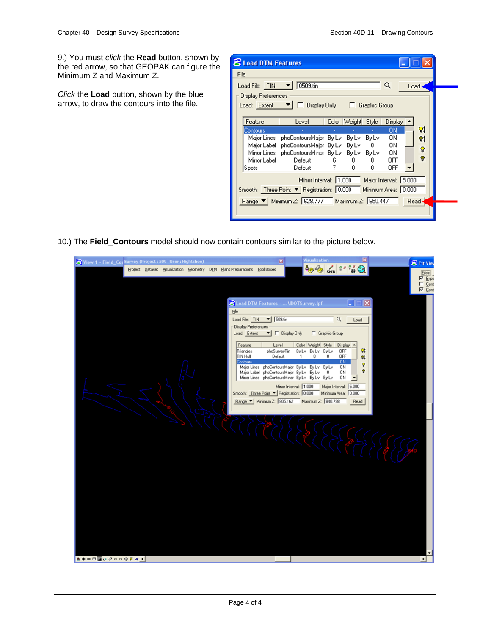9.) You must *click* the **Read** button, shown by the red arrow, so that GEOPAK can figure the Minimum Z and Maximum Z.

*Click* the **Load** button, shown by the blue arrow, to draw the contours into the file.

| <b>8 Load DTM Features</b> |                                                               |         |                    |                       |                     |       |    |  |
|----------------------------|---------------------------------------------------------------|---------|--------------------|-----------------------|---------------------|-------|----|--|
| File                       |                                                               |         |                    |                       |                     |       |    |  |
|                            | 0509.tin                                                      |         |                    |                       | Q                   | Load  |    |  |
| <b>Display Preferences</b> |                                                               |         |                    |                       |                     |       |    |  |
|                            | Load: Extent ▼     Display Only   Graphic Group               |         |                    |                       |                     |       |    |  |
|                            |                                                               |         |                    |                       |                     |       |    |  |
| Feature                    | Level                                                         |         | Color Weight Style |                       | Display $\triangle$ |       |    |  |
| Contours                   |                                                               |         |                    |                       | <b>ON</b>           |       | 81 |  |
|                            | Major Lines phoContoursMajor By Lv                            |         | By Lv              | By Lv                 | ΟN                  |       | 91 |  |
|                            | Major Label phoContoursMajor By Lv By Lv                      |         |                    | $\mathbf{0}$          | ΟN                  |       | ହ  |  |
| Minor Label                | Minor Lines phoContoursMinor By Lv By Lv By Lv<br>Default     |         | 0                  | Û                     | ΟN<br>OFF           |       | ဂူ |  |
| Spots                      | Default                                                       | 6.<br>7 | 0                  | Ū                     | OFF                 |       |    |  |
|                            |                                                               |         |                    |                       |                     |       |    |  |
|                            | Minor Interval: 1.000                                         |         |                    | Major Interval: 5.000 |                     |       |    |  |
|                            | Smooth: Three Point ▼ Registration: 0.000 Minimum Area: 0.000 |         |                    |                       |                     |       |    |  |
|                            | Range V   Minimum Z: 628.777 Maximum Z: 650.447               |         |                    |                       |                     | Read- |    |  |
|                            |                                                               |         |                    |                       |                     |       |    |  |
|                            |                                                               |         |                    |                       |                     |       |    |  |

10.) The **Field\_Contours** model should now contain contours similar to the picture below.